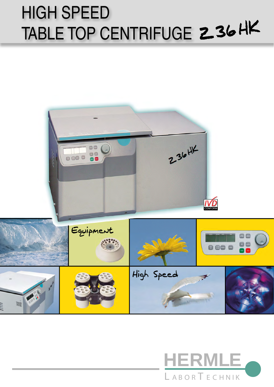# HIGH SPEED TABLE TOP CENTRIFUGE 236HK



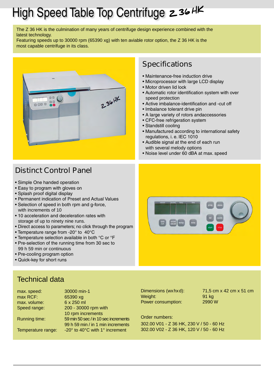## High Speed Table Top Centrifuge 236 HK

The Z 36 HK is the culmination of many years of centrifuge design experience combined with the latest technology.

Featuring speeds up to 30000 rpm (65390 xg) with ten aviable rotor option, the Z 36 HK is the most capable centrifuge in its class.



#### **Specifications**

- Maintenance-free induction drive
- Microprocessor with large LCD display
- Motor driven lid lock
- Automatic rotor identification system with over speed protection
- Active imbalance-identification and -cut off
- Imbalance tolerant drive pin
- A large variety of rotors andaccessories
- CFC-free refrigeration system
- Standstill cooling
- Manufactured according to international safety regulations, i. e. IEC 1010
- Audible signal at the end of each run with several melody options
- Noise level under 60 dBA at max. speed

### **Distinct Control Panel**

- Simple One handed operation
- Easy to program with gloves on
- Splash proof digital display
- Permanent indication of Preset and Actual Values
- Selection of speed in both rpm and g-force, with increments of 10
- 10 acceleration and deceleration rates with storage of up to ninety nine runs.
- Direct access to parameters; no click through the program
- Temperature range from -20° to 40°C
- Temperature selection available in both °C or °F
- Pre-selection of the running time from 30 sec to 99 h 59 min or continuous
- Pre-cooling program option
- Quick-key for short runs

#### Technical data

| max. speed:        | 30000 min-1                          |
|--------------------|--------------------------------------|
| max RCF:           | 65390 xg                             |
| max. volume:       | 6 x 250 ml                           |
| Speed range:       | 200 - 30000 rpm with                 |
|                    | 10 rpm increments                    |
| Running time:      | 59 min 50 sec / in 10 sec increments |
|                    | 99 h 59 min / in 1 min increments    |
| Temperature range: | -20° to 40°C with 1° increment       |

Weight: 91 kg Power consumption: 2990 W

Dimensions (wxhxd): 71,5 cm x 42 cm x 51 cm

Order numbers: 302.00 V01 - Z 36 HK, 230 V / 50 - 60 Hz 302.00 V02 - Z 36 HK, 120 V / 50 - 60 Hz

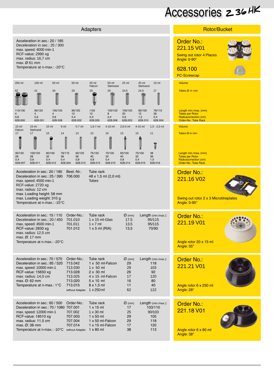